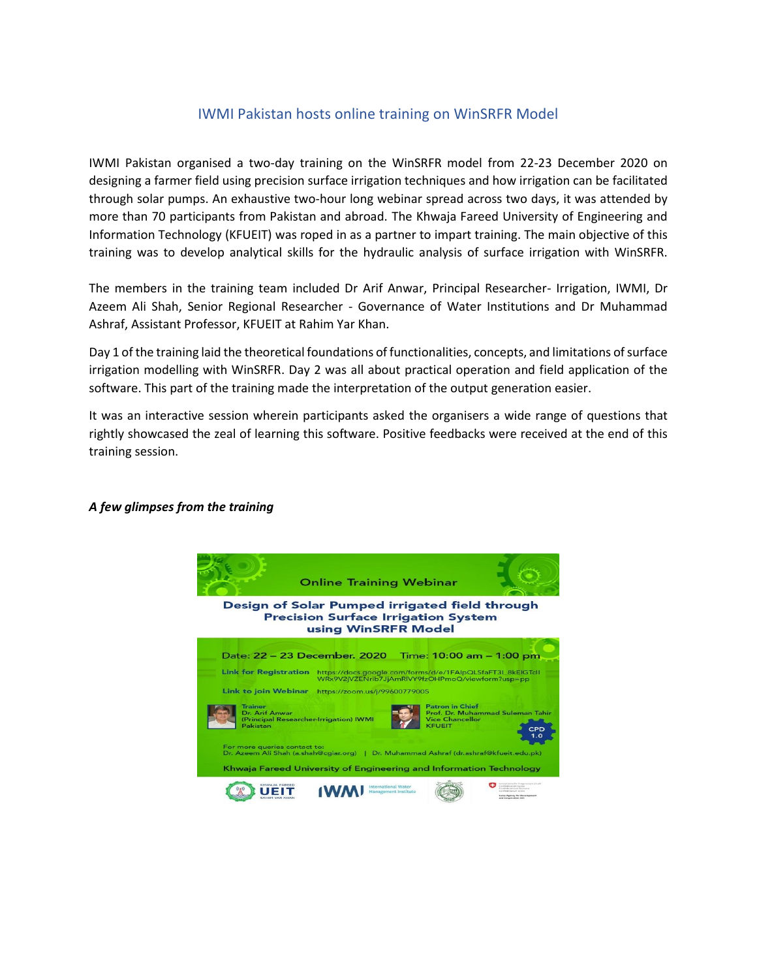## IWMI Pakistan hosts online training on WinSRFR Model

IWMI Pakistan organised a two-day training on the WinSRFR model from 22-23 December 2020 on designing a farmer field using precision surface irrigation techniques and how irrigation can be facilitated through solar pumps. An exhaustive two-hour long webinar spread across two days, it was attended by more than 70 participants from Pakistan and abroad. The Khwaja Fareed University of Engineering and Information Technology (KFUEIT) was roped in as a partner to impart training. The main objective of this training was to develop analytical skills for the hydraulic analysis of surface irrigation with WinSRFR.

The members in the training team included Dr Arif Anwar, Principal Researcher- Irrigation, IWMI, Dr Azeem Ali Shah, Senior Regional Researcher - Governance of Water Institutions and Dr Muhammad Ashraf, Assistant Professor, KFUEIT at Rahim Yar Khan.

Day 1 of the training laid the theoretical foundations of functionalities, concepts, and limitations of surface irrigation modelling with WinSRFR. Day 2 was all about practical operation and field application of the software. This part of the training made the interpretation of the output generation easier.

It was an interactive session wherein participants asked the organisers a wide range of questions that rightly showcased the zeal of learning this software. Positive feedbacks were received at the end of this training session.

## *A few glimpses from the training*